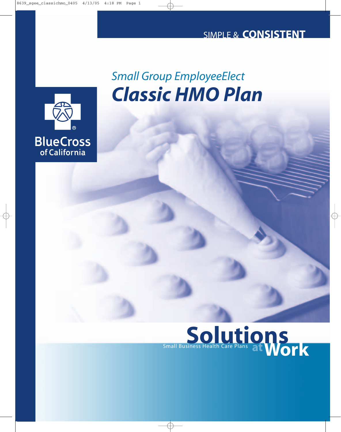

# *Classic HMO Plan Small Group EmployeeElect*

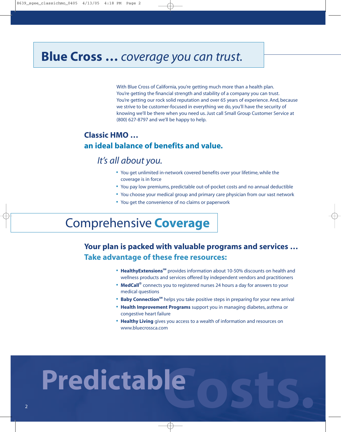# **Blue Cross …** *coverage you can trust.*

With Blue Cross of California, you're getting much more than a health plan. You're getting the financial strength and stability of a company you can trust. You're getting our rock solid reputation and over 65 years of experience. And, because we strive to be customer-focused in everything we do, you'll have the security of knowing we'll be there when you need us. Just call Small Group Customer Service at (800) 627-8797 and we'll be happy to help.

### **Classic HMO … an ideal balance of benefits and value.**

## *It's all about you.*

- **•** You get unlimited in-network covered benefits over your lifetime, while the coverage is in force
- **•** You pay low premiums, predictable out-of-pocket costs and no annual deductible
- **•** You choose your medical group and primary care physician from our vast network
- **•** You get the convenience of no claims or paperwork

# Comprehensive **Coverage**

## **Your plan is packed with valuable programs and services … Take advantage of these free resources:**

- **HealthyExtensions**<sup>5M</sup> provides information about 10-50% discounts on health and wellness products and services offered by independent vendors and practitioners
- **• MedCall®** connects you to registered nurses 24 hours a day for answers to your medical questions
- **Baby Connection**<sup>5M</sup> helps you take positive steps in preparing for your new arrival
- **• Health Improvement Programs** support you in managing diabetes, asthma or congestive heart failure
- **• Healthy Living** gives you access to a wealth of information and resources on www.bluecrossca.com

# **Costs. Predictable**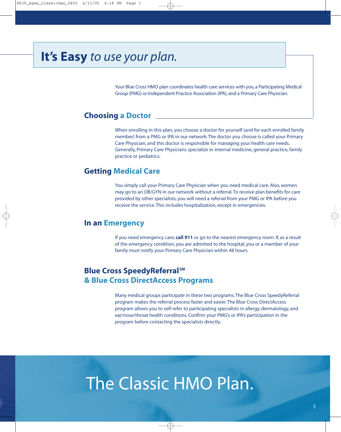# **It's Easy** *to use your plan.*

Your Blue Cross HMO plan coordinates health care services with you, a Participating Medical Group (PMG) or Independent Practice Association (IPA), and a Primary Care Physician.

#### **Choosing a Doctor**

When enrolling in this plan, you choose a doctor for yourself (and for each enrolled family member) from a PMG or IPA in our network. The doctor you choose is called your Primary Care Physician, and this doctor is responsible for managing your health care needs. Generally, Primary Care Physicians specialize in internal medicine, general practice, family practice or pediatrics.

#### **Getting Medical Care**

You simply call your Primary Care Physician when you need medical care. Also, women may go to an OB/GYN in our network without a referral. To receive plan benefits for care provided by other specialists, you will need a referral from your PMG or IPA before you receive the service. This includes hospitalization, except in emergencies.

#### **In an Emergency**

If you need emergency care, **call 911** or go to the nearest emergency room. If, as a result of the emergency condition, you are admitted to the hospital, you or a member of your family must notify your Primary Care Physician within 48 hours.

#### **Blue Cross SpeedyReferral**SM **& Blue Cross DirectAccess Programs**

Many medical groups participate in these two programs. The Blue Cross SpeedyReferral program makes the referral process faster and easier. The Blue Cross DirectAccess program allows you to self-refer to participating specialists in allergy, dermatology, and ear/nose/throat health conditions. Confirm your PMG's or IPA's participation in the program before contacting the specialists directly.

# The Classic HMO Plan.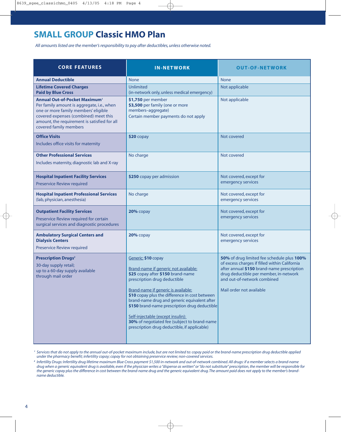# **SMALL GROUP Classic HMO Plan**

*All amounts listed are the member's responsibility to pay after deductibles, unless otherwise noted.*

| <b>CORE FEATURES</b>                                                                                                                                                                                                                                      | <b>IN-NETWORK</b>                                                                                                                                                                                                                                                                                                                                                                                                                                               | <b>OUT-OF-NETWORK</b>                                                                                                                                                                                                                          |
|-----------------------------------------------------------------------------------------------------------------------------------------------------------------------------------------------------------------------------------------------------------|-----------------------------------------------------------------------------------------------------------------------------------------------------------------------------------------------------------------------------------------------------------------------------------------------------------------------------------------------------------------------------------------------------------------------------------------------------------------|------------------------------------------------------------------------------------------------------------------------------------------------------------------------------------------------------------------------------------------------|
| <b>Annual Deductible</b>                                                                                                                                                                                                                                  | <b>None</b>                                                                                                                                                                                                                                                                                                                                                                                                                                                     | <b>None</b>                                                                                                                                                                                                                                    |
| <b>Lifetime Covered Charges</b><br><b>Paid by Blue Cross</b>                                                                                                                                                                                              | Unlimited<br>(in-network only, unless medical emergency)                                                                                                                                                                                                                                                                                                                                                                                                        | Not applicable                                                                                                                                                                                                                                 |
| <b>Annual Out-of-Pocket Maximum</b> <sup>1</sup><br>Per family amount is aggregate, i.e., when<br>one or more family members' eligible<br>covered expenses (combined) meet this<br>amount, the requirement is satisfied for all<br>covered family members | \$1,750 per member<br>\$3,500 per family (one or more<br>members-aggregate)<br>Certain member payments do not apply                                                                                                                                                                                                                                                                                                                                             | Not applicable                                                                                                                                                                                                                                 |
| <b>Office Visits</b><br>Includes office visits for maternity                                                                                                                                                                                              | $$20$ copay                                                                                                                                                                                                                                                                                                                                                                                                                                                     | Not covered                                                                                                                                                                                                                                    |
| <b>Other Professional Services</b><br>Includes maternity, diagnostic lab and X-ray                                                                                                                                                                        | No charge                                                                                                                                                                                                                                                                                                                                                                                                                                                       | Not covered                                                                                                                                                                                                                                    |
| <b>Hospital Inpatient Facility Services</b><br><b>Preservice Review required</b>                                                                                                                                                                          | \$250 copay per admission                                                                                                                                                                                                                                                                                                                                                                                                                                       | Not covered, except for<br>emergency services                                                                                                                                                                                                  |
| <b>Hospital Inpatient Professional Services</b><br>(lab, physician, anesthesia)                                                                                                                                                                           | No charge                                                                                                                                                                                                                                                                                                                                                                                                                                                       | Not covered, except for<br>emergency services                                                                                                                                                                                                  |
| <b>Outpatient Facility Services</b><br>Preservice Review required for certain<br>surgical services and diagnostic procedures                                                                                                                              | 20% copay                                                                                                                                                                                                                                                                                                                                                                                                                                                       | Not covered, except for<br>emergency services                                                                                                                                                                                                  |
| <b>Ambulatory Surgical Centers and</b><br><b>Dialysis Centers</b><br><b>Preservice Review required</b>                                                                                                                                                    | 20% copay                                                                                                                                                                                                                                                                                                                                                                                                                                                       | Not covered, except for<br>emergency services                                                                                                                                                                                                  |
| <b>Prescription Drugs<sup>2</sup></b><br>30-day supply retail;<br>up to a 60-day supply available<br>through mail order                                                                                                                                   | Generic: \$10 copay<br>Brand-name if generic not available:<br>\$25 copay after \$150 brand-name<br>prescription drug deductible<br>Brand-name if generic is available:<br>\$10 copay plus the difference in cost between<br>brand-name drug and generic equivalent after<br>\$150 brand-name prescription drug deductible<br>Self-injectable (except insulin):<br>30% of negotiated fee (subject to brand-name<br>prescription drug deductible, if applicable) | 50% of drug limited fee schedule plus 100%<br>of excess charges if filled within California<br>after annual \$150 brand-name prescription<br>drug deductible per member, in-network<br>and out-of-network combined<br>Mail order not available |

<sup>1</sup> Services that do not apply to the annual out-of-pocket maximum include, but are not limited to: copay paid or the brand-name prescription drug deductible applied *under the pharmacy benefit; infertility copay; copay for not obtaining preservice review; non-covered services.*

*<sup>2</sup> Infertility Drugs: Infertility drug lifetime maximum Blue Cross payment \$1,500 in-network and out-of-network combined. All drugs: if a member selects a brand-name drug when a generic equivalent drug is available, even if the physician writes a "dispense as written" or "do not substitute" prescription, the member will be responsible for the generic copay plus the difference in cost between the brand-name drug and the generic equivalent drug. The amount paid does not apply to the member's brandname deductible.*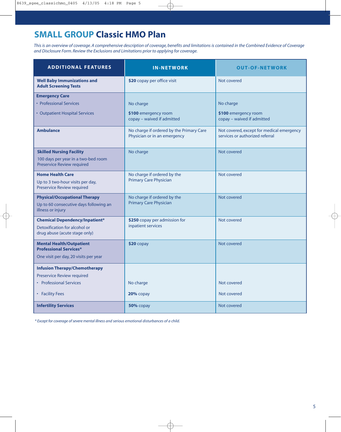# **SMALL GROUP Classic HMO Plan**

*This is an overview of coverage. A comprehensive description of coverage, benefits and limitations is contained in the Combined Evidence of Coverage and Disclosure Form. Review the Exclusions and Limitations prior to applying for coverage.*

| <b>ADDITIONAL FEATURES</b>                                                                                | <b>IN-NETWORK</b>                                                        | <b>OUT-OF-NETWORK</b>                                                        |
|-----------------------------------------------------------------------------------------------------------|--------------------------------------------------------------------------|------------------------------------------------------------------------------|
| <b>Well Baby Immunizations and</b><br><b>Adult Screening Tests</b>                                        | \$20 copay per office visit                                              | Not covered                                                                  |
| <b>Emergency Care</b><br>• Professional Services<br>• Outpatient Hospital Services                        | No charge<br>\$100 emergency room<br>copay - waived if admitted          | No charge<br>\$100 emergency room<br>copay - waived if admitted              |
| <b>Ambulance</b>                                                                                          | No charge if ordered by the Primary Care<br>Physician or in an emergency | Not covered, except for medical emergency<br>services or authorized referral |
| <b>Skilled Nursing Facility</b><br>100 days per year in a two-bed room<br>Preservice Review required      | No charge                                                                | Not covered                                                                  |
| <b>Home Health Care</b><br>Up to 3 two-hour visits per day,<br>Preservice Review required                 | No charge if ordered by the<br><b>Primary Care Physician</b>             | Not covered                                                                  |
| <b>Physical/Occupational Therapy</b><br>Up to 60 consecutive days following an<br>illness or injury       | No charge if ordered by the<br><b>Primary Care Physician</b>             | Not covered                                                                  |
| <b>Chemical Dependency/Inpatient*</b><br>Detoxification for alcohol or<br>drug abuse (acute stage only)   | \$250 copay per admission for<br>inpatient services                      | Not covered                                                                  |
| <b>Mental Health/Outpatient</b><br><b>Professional Services*</b><br>One visit per day, 20 visits per year | $$20$ copay                                                              | Not covered                                                                  |
| <b>Infusion Therapy/Chemotherapy</b>                                                                      |                                                                          |                                                                              |
| Preservice Review required<br>• Professional Services                                                     | No charge                                                                | Not covered                                                                  |
| • Facility Fees                                                                                           | $20%$ copay                                                              | Not covered                                                                  |
| <b>Infertility Services</b>                                                                               | 50% copay                                                                | Not covered                                                                  |

*\* Except for coverage of severe mental illness and serious emotional disturbances of a child.*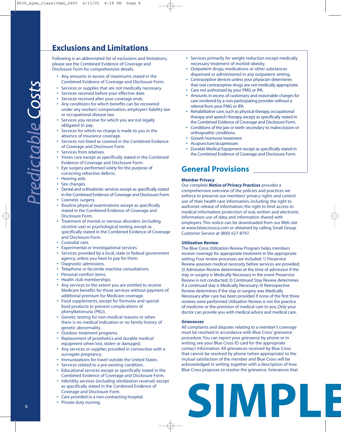## **Exclusions and Limitations**

Following is an abbreviated list of exclusions and limitations; please see the Combined Evidence of Coverage and Disclosure Form for comprehensive details.

- **•** Any amounts in excess of maximums stated in the Combined Evidence of Coverage and Disclosure Form.
- **•** Services or supplies that are not medically necessary.
- **•** Services received before your effective date.
- **•** Services received after your coverage ends.
- **•** Any conditions for which benefits can be recovered under any workers' compensation, employers' liability law or occupational disease law.
- **•** Services you receive for which you are not legally obligated to pay.
- **•** Services for which no charge is made to you in the absence of insurance coverage.
- **•** Services not listed as covered in the Combined Evidence of Coverage and Disclosure Form.
- **•** Services from relatives.
- **•** Vision care except as specifically stated in the Combined Evidence of Coverage and Disclosure Form.
- **•** Eye surgery performed solely for the purpose of correcting refractive defects.
- **•** Hearing aids.
- **•** Sex changes.
- **•** Dental and orthodontic services except as specifically stated in the Combined Evidence of Coverage and Disclosure Form.
- **•** Cosmetic surgery.
- **•** Routine physical examinations except as specifically stated in the Combined Evidence of Coverage and Disclosure Form.
- **•** Treatment of mental or nervous disorders (including nicotine use) or psychological testing, except as specifically stated in the Combined Evidence of Coverage and Disclosure Form.
- **•** Custodial care.
- **•** Experimental or investigational services.
- **•** Services provided by a local, state or federal government agency, unless you have to pay for them.
- **•** Diagnostic admissions.
- **•** Telephone or facsimile machine consultations.
- **•** Personal comfort items.
- **•** Health club memberships.
- **•** Any services to the extent you are entitled to receive Medicare benefits for those services without payment of additional premium for Medicare coverage.
- **•** Food supplements, except for formulas and special food products to prevent complications of phenylketonuria (PKU).
- **•** Genetic testing for non-medical reasons or when there is no medical indication or no family history of genetic abnormality.
- **•** Outdoor treatment programs.
- **•** Replacement of prosthetics and durable medical equipment when lost, stolen or damaged.
- **•** Any services or supplies provided in connection with a surrogate pregnancy.
- **•** Immunizations for travel outside the United States.
- **•** Services related to a pre-existing condition.
- **•** Educational services except as specifically stated in the Combined Evidence of Coverage and Disclosure Form.
- **•** Infertility services (including sterilization reversal) except as specifically stated in the Combined Evidence of Coverage and Disclosure Form.
- **•** Care provided in a non-contracting hospital.
- **•** Private duty nursing.
- **•** Services primarily for weight reduction except medically necessary treatment of morbid obesity.
- **•** Outpatient drugs, medications or other substances dispensed or administered in any outpatient setting.
- **•** Contraceptive devices unless your physician determines that oral contraceptive drugs are not medically appropriate.
- **•** Care not authorized by your PMG or IPA.
- **•** Amounts in excess of customary and reasonable charges for care rendered by a non-participating provider without a referral from your PMG or IPA.
- **•** Rehabilitative care, such as physical therapy, occupational therapy and speech therapy, except as specifically stated in the Combined Evidence of Coverage and Disclosure Form.
- **•** Conditions of the jaw or teeth secondary to malocclusion or orthognathic conditions.
- **•** Growth hormone treatment.
- **•** Acupuncture/acupressure.
- **•** Durable Medical Equipment except as specifically stated in the Combined Evidence of Coverage and Disclosure Form.

#### **General Provisions**

#### **Member Privacy**

Our complete *Notice of Privacy Practices* provides a comprehensive overview of the policies and practices we enforce to preserve our members' privacy rights and control use of their health care information, including: the right to authorize release of information; the right to limit access to medical information; protection of oral, written and electronic information; use of data; and information shared with employers.This notice can be downloaded from our Web site at www.bluecrossca.com or obtained by calling Small Group Customer Service at (800) 627-8797.

#### **Utilization Review**

The Blue Cross Utilization Review Program helps members receive coverage for appropriate treatment in the appropriate setting. Four review processes are included: 1) Preservice Review assesses medical necessity before services are provided; 2) Admission Review determines at the time of admission if the stay or surgery is Medically Necessary in the event Preservice Review is not conducted; 3) Continued Stay Review determines if a continued stay is Medically Necessary; 4) Retrospective Review determines if the stay or surgery was Medically Necessary after care has been provided if none of the first three reviews were performed. Utilization Review is not the practice of medicine or the provision of medical care to you. Only your doctor can provide you with medical advice and medical care.

#### **Grievances**

All complaints and disputes relating to a member's coverage must be resolved in accordance with Blue Cross' grievance procedure.You can report your grievance by phone or in writing; see your Blue Cross ID card for the appropriate contact information. All grievances received by Blue Cross that cannot be resolved by phone (when appropriate) to the mutual satisfaction of the member and Blue Cross will be acknowledged in writing, together with a description of how Blue Cross proposes to resolve the grievance. Grievances that

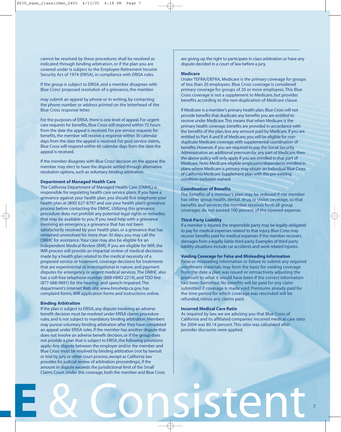cannot be resolved by these procedures shall be resolved as indicated through binding arbitration, or if the plan you are covered under is subject to the Employee Retirement Income Security Act of 1974 (ERISA), in compliance with ERISA rules.

If the group is subject to ERISA, and a member disagrees with Blue Cross' proposed resolution of a grievance, the member

may submit an appeal by phone or in writing, by contacting the phone number or address printed on the letterhead of the Blue Cross response letter.

For the purposes of ERISA, there is one level of appeal. For urgent care requests for benefits, Blue Cross will respond within 72 hours from the date the appeal is received. For pre-service requests for benefits, the member will receive a response within 30 calendar days from the date the appeal is received. For post-service claims, Blue Cross will respond within 60 calendar days from the date the appeal is received.

If the member disagrees with Blue Cross' decision on the appeal, the member may elect to have the dispute settled through alternative resolution options, such as voluntary binding arbitration.

#### **Department of Managed Health Care**

The California Department of Managed Health Care (DMHC) is responsible for regulating health care service plans. If you have a grievance against your health plan, you should first telephone your health plan at (800) 627-8797 and use your health plan's grievance process before contacting the DMHC. Utilizing this grievance procedure does not prohibit any potential legal rights or remedies that may be available to you. If you need help with a grievance involving an emergency, a grievance that has not been satisfactorily resolved by your health plan, or a grievance that has remained unresolved for more than 30 days, you may call the DMHC for assistance.Your case may also be eligible for an Independent Medical Review (IMR). If you are eligible for IMR, the IMR process will provide an impartial review of medical decisions made by a health plan related to the medical necessity of a proposed service or treatment, coverage decisions for treatments that are experimental or investigational in nature, and payment disputes for emergency or urgent medical services. The DMHC also has a toll-free telephone number (888-HMO-2219), and TDD line (877-688-9891) for the hearing- and speech-impaired. The department's Internet Web site, www.hmohelp.ca.gov, has complaint forms, IMR application forms and instructions online.

#### **Binding Arbitration**

If the plan is subject to ERISA, any dispute involving an adverse benefit decision must be resolved under ERISA claims procedure rules, and is not subject to mandatory binding arbitration. Members may pursue voluntary binding arbitration after they have completed an appeal under ERISA rules. If the member has another dispute that does not involve an adverse benefit decision, or if the group does not provide a plan that is subject to ERISA, the following provisions apply:Any dispute between the employer and/or the member and Blue Cross must be resolved by binding arbitration (not by lawsuit or trial by jury or other court process, except as California law provides for judicial review of arbitration proceedings), if the amount in dispute exceeds the jurisdictional limit of the Small Claims Court. Under this coverage, both the member and Blue Cross

are giving up the right to participate in class arbitration or have any dispute decided in a court of law before a jury.

#### **Medicare**

Under TEFRA/DEFRA, Medicare is the primary coverage for groups of less than 20 employees. Blue Cross coverage is considered primary coverage for groups of 20 or more employees. This Blue Cross coverage is not a supplement to Medicare, but provides benefits according to the non-duplication of Medicare clause.

If Medicare is a member's primary health plan, Blue Cross will not provide benefits that duplicate any benefits you are entitled to receive under Medicare.This means that when Medicare is the primary health coverage, benefits are provided in accordance with the benefits of the plan, less any amount paid by Medicare. If you are entitled to Part A and B of Medicare, you will be eligible for nonduplicate Medicare coverage, with supplemental coordination of benefits. However, if you are required to pay the Social Security Administration an additional premium for any part of Medicare, then the above policy will only apply if you are enrolled in that part of Medicare. Note: Medicare-eligible employees/dependents enrolled in plans where Medicare is primary may obtain an Individual Blue Cross of California Medicare Supplement plan with the pre-existing condition exclusion waived.

#### **Coordination of Benefits**

The benefits of a member's plan may be reduced if the member has other group health, dental, drug or vision coverage, so that benefits and services the member receives from all group coverages do not exceed 100 percent of the covered expense.

#### **Third-Party Liability**

If a member is injured, the responsible party may be legally obligated to pay for medical expenses related to that injury. Blue Cross may recover benefits paid for medical expenses if the member recovers damages from a legally liable third-party. Examples of third-party liability situations include car accidents and work-related injuries.

#### **Voiding Coverage for False and Misleading Information**

False or misleading information or failure to submit any required enrollment materials may form the basis for voiding coverage from the date a plan was issued or retroactively adjusting the premium to what it would have been if the correct information had been furnished. No benefits will be paid for any claim submitted if coverage is made void. Premiums already paid for the time period for which coverage was rescinded will be refunded, minus any claims paid.

#### **Incurred Medical Care Ratio**

As required by law, we are advising you that Blue Cross of California and its affiliated companies' incurred medical care ratio for 2004 was 80.14 percent. This ratio was calculated after provider discounts were applied.

7

# **PLE** & Consistent